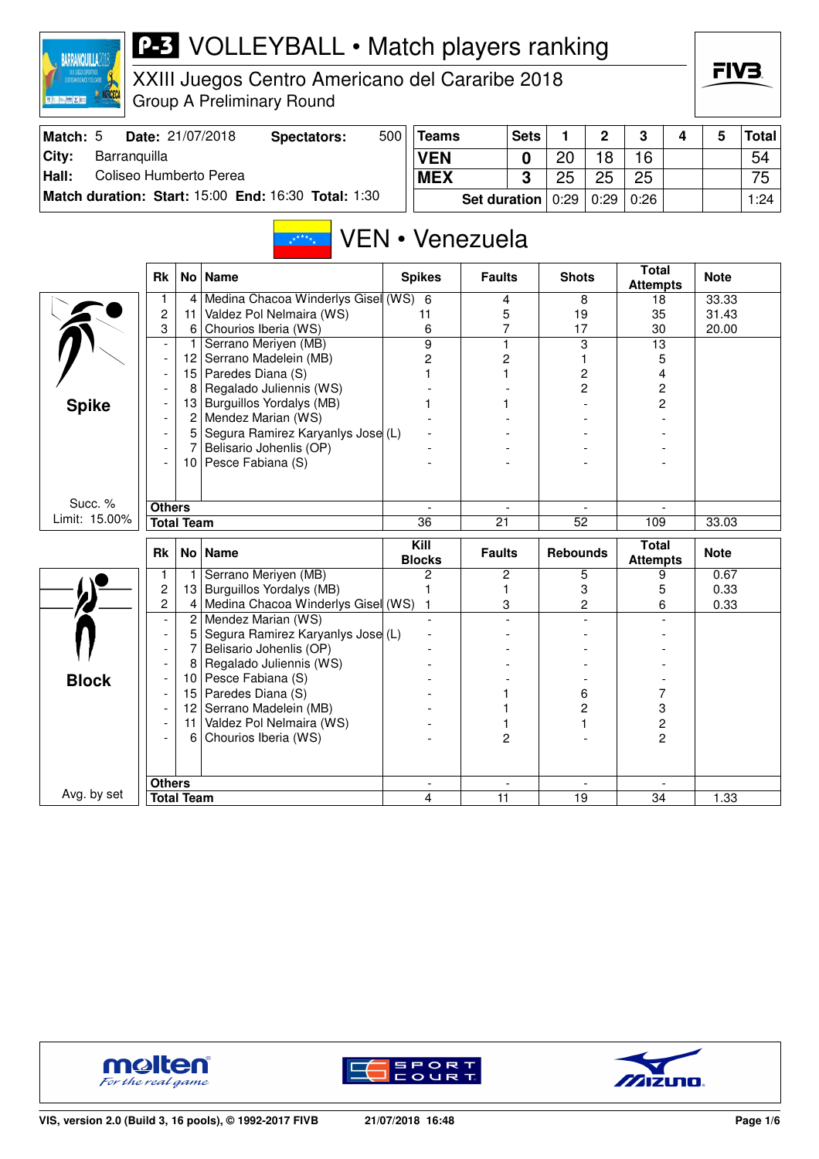| XXII JUEGOS DEPORTIVOS<br>CENTROANERICANOS Y DEL CARIE<br><b>BELLINGY</b> |                               |                   | XXIII Juegos Centro Americano del Cararibe 2018<br><b>Group A Preliminary Round</b> |     |                     |                     |             |                 |             |                         |   | FIV3.       |              |
|---------------------------------------------------------------------------|-------------------------------|-------------------|-------------------------------------------------------------------------------------|-----|---------------------|---------------------|-------------|-----------------|-------------|-------------------------|---|-------------|--------------|
| Match: 5                                                                  |                               |                   | Date: 21/07/2018<br><b>Spectators:</b>                                              | 500 | <b>Teams</b>        |                     | <b>Sets</b> | 1               | $\mathbf 2$ | 3                       | 4 | 5           | <b>Total</b> |
| City:<br>Barranquilla                                                     |                               |                   |                                                                                     |     | <b>VEN</b>          |                     | 0           | 20              | 18          | 16                      |   |             | 54           |
| Hall:<br>Coliseo Humberto Perea                                           |                               |                   |                                                                                     |     | <b>MEX</b>          |                     | 3           | 25              | 25          | 25                      |   |             | 75           |
|                                                                           |                               |                   | Match duration: Start: 15:00 End: 16:30 Total: 1:30                                 |     |                     | <b>Set duration</b> |             | 0:29            | 0:29        | 0:26                    |   |             | 1:24         |
|                                                                           |                               |                   | $x^*$ ****                                                                          |     |                     | VEN • Venezuela     |             |                 |             | <b>Total</b>            |   |             |              |
|                                                                           | <b>Rk</b>                     |                   | No Name                                                                             |     | <b>Spikes</b>       | <b>Faults</b>       |             | <b>Shots</b>    |             | <b>Attempts</b>         |   | <b>Note</b> |              |
|                                                                           | 1                             | 4                 | Medina Chacoa Winderlys Gisel (WS) 6                                                |     |                     | 4                   |             | 8               |             | 18                      |   | 33.33       |              |
|                                                                           | $\overline{\mathbf{c}}$       | 11                | Valdez Pol Nelmaira (WS)                                                            |     | 11                  | 5                   |             | 19              |             | 35                      |   | 31.43       |              |
|                                                                           | 3<br>$\overline{\phantom{a}}$ | 6<br>$\vert$      | Chourios Iberia (WS)<br>Serrano Meriyen (MB)                                        |     | 6<br>$\overline{9}$ | 7<br>1              |             | 17<br>3         |             | 30<br>$\overline{13}$   |   | 20.00       |              |
|                                                                           | $\overline{\phantom{a}}$      | 12                | Serrano Madelein (MB)                                                               |     | 2                   | 2                   |             |                 |             | 5                       |   |             |              |
|                                                                           | $\overline{\phantom{a}}$      |                   | 15 Paredes Diana (S)                                                                |     | 1                   |                     |             |                 | 2           | 4                       |   |             |              |
|                                                                           |                               | 8                 | Regalado Juliennis (WS)                                                             |     |                     |                     |             |                 | 2           | 2                       |   |             |              |
| <b>Spike</b>                                                              |                               | 13                | Burguillos Yordalys (MB)                                                            |     |                     |                     |             |                 |             | 2                       |   |             |              |
|                                                                           |                               | 2                 | Mendez Marian (WS)                                                                  |     |                     |                     |             |                 |             |                         |   |             |              |
|                                                                           |                               | 5                 | Segura Ramirez Karyanlys Jose (L)                                                   |     |                     |                     |             |                 |             |                         |   |             |              |
|                                                                           | $\overline{\phantom{a}}$      | 7                 | Belisario Johenlis (OP)                                                             |     |                     |                     |             |                 |             |                         |   |             |              |
|                                                                           |                               | 10                | Pesce Fabiana (S)                                                                   |     |                     |                     |             |                 |             |                         |   |             |              |
| Succ. %                                                                   | <b>Others</b>                 |                   |                                                                                     |     |                     |                     |             |                 |             |                         |   |             |              |
| Limit: 15.00%                                                             | <b>Total Team</b>             |                   |                                                                                     |     | 36                  | 21                  |             | $\overline{52}$ |             | 109                     |   | 33.03       |              |
|                                                                           |                               |                   |                                                                                     |     | Kill                |                     |             |                 |             | <b>Total</b>            |   |             |              |
|                                                                           | Rk                            |                   | No Name                                                                             |     | <b>Blocks</b>       | <b>Faults</b>       |             | <b>Rebounds</b> |             | <b>Attempts</b>         |   | <b>Note</b> |              |
|                                                                           | 1                             | 1 <sup>1</sup>    | Serrano Meriyen (MB)                                                                |     | 2                   | 2                   |             | 5               |             | 9                       |   | 0.67        |              |
|                                                                           | 2                             |                   | 13 Burguillos Yordalys (MB)                                                         |     | 1                   | 1                   |             | 3               |             | 5                       |   | 0.33        |              |
|                                                                           | 2                             | $\overline{2}$    | 4 Medina Chacoa Winderlys Gisel (WS)<br>Mendez Marian (WS)                          |     | 1                   | 3                   |             |                 | 2           | 6                       |   | 0.33        |              |
|                                                                           | $\overline{\phantom{a}}$      | 5                 | Segura Ramirez Karyanlys Jose (L)                                                   |     |                     |                     |             |                 |             |                         |   |             |              |
|                                                                           |                               | 7                 | Belisario Johenlis (OP)                                                             |     |                     |                     |             |                 |             |                         |   |             |              |
|                                                                           |                               | 8                 | Regalado Juliennis (WS)                                                             |     |                     |                     |             |                 |             |                         |   |             |              |
| <b>Block</b>                                                              |                               |                   | 10 Pesce Fabiana (S)                                                                |     |                     |                     |             |                 |             |                         |   |             |              |
|                                                                           |                               | 15                | Paredes Diana (S)                                                                   |     |                     |                     |             | 6               |             | 7                       |   |             |              |
|                                                                           |                               |                   | 12 Serrano Madelein (MB)                                                            |     |                     |                     |             |                 | 2           | 3                       |   |             |              |
|                                                                           |                               |                   | 11 Valdez Pol Nelmaira (WS)                                                         |     |                     | 1                   |             | 1               |             | $\overline{\mathbf{c}}$ |   |             |              |
|                                                                           | $\overline{\phantom{a}}$      |                   | 6 Chourios Iberia (WS)                                                              |     |                     | 2                   |             |                 |             | $\overline{c}$          |   |             |              |
|                                                                           |                               |                   |                                                                                     |     |                     |                     |             |                 |             |                         |   |             |              |
| Avg. by set                                                               | <b>Others</b>                 |                   |                                                                                     |     |                     |                     |             |                 |             |                         |   |             |              |
|                                                                           |                               | <b>Total Team</b> |                                                                                     |     | 4                   | 11                  |             | 19              |             | 34                      |   | 1.33        |              |



**BARRANQUILLA2018** 





FIV<sub>3</sub>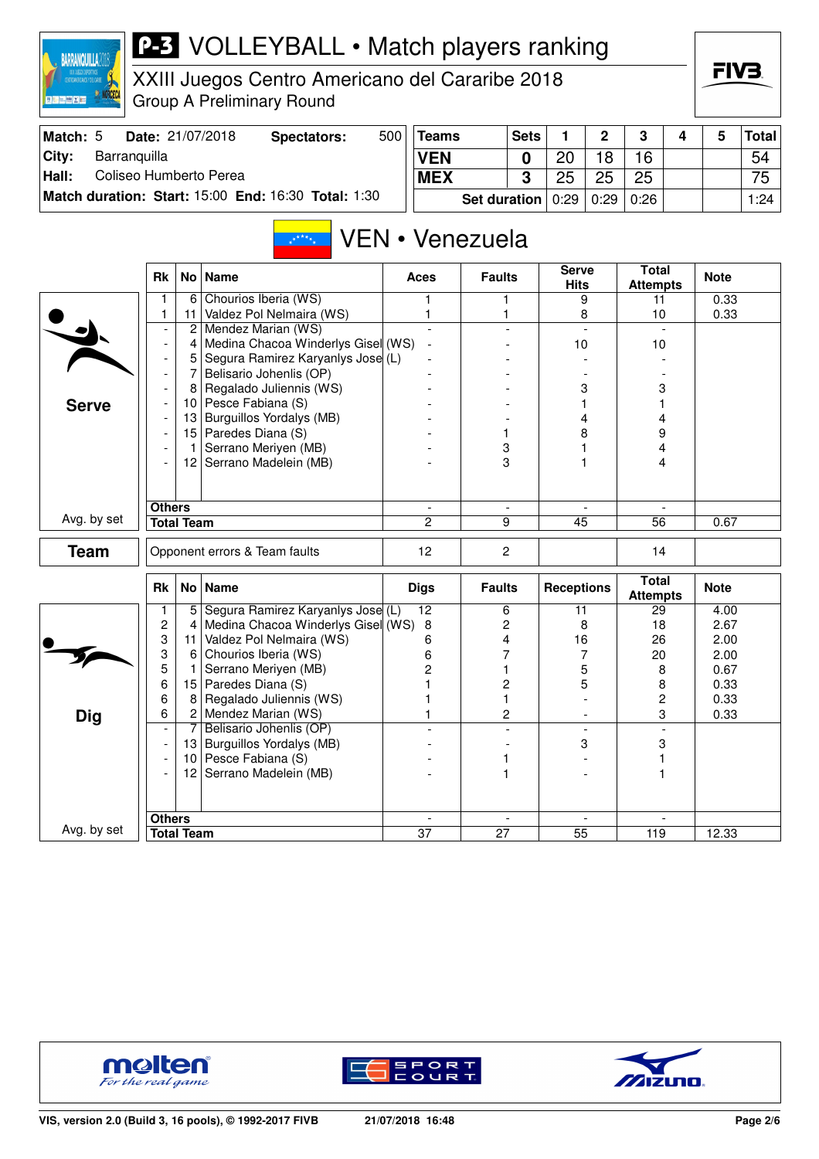

XXIII Juegos Centro Americano del Cararibe 2018 Group A Preliminary Round

| Match: 5      | <b>Date: 21/07/2018</b>                             | Spectators: | 500 | Teams                              | <b>Sets</b> |    | ົ  | ີ    |  | Total <sup> </sup> |
|---------------|-----------------------------------------------------|-------------|-----|------------------------------------|-------------|----|----|------|--|--------------------|
| City:         | Barranguilla                                        |             |     | <b>VEN</b>                         |             | ∩פ | 18 | 16   |  | 54                 |
| $\vert$ Hall: | Coliseo Humberto Perea                              |             |     | <b>MEX</b>                         |             | つに | 25 | 25   |  | 75                 |
|               | Match duration: Start: 15:00 End: 16:30 Total: 1:30 |             |     | Set duration $0.29 \mid 0.29 \mid$ |             |    |    | 0:26 |  | 1:24               |

#### VEN • Venezuela  $\sqrt{x^* + x^*}$

|              | <b>Rk</b>                          |                 | No   Name                                        | <b>Aces</b>              | <b>Faults</b>            | <b>Serve</b><br><b>Hits</b> | <b>Total</b><br><b>Attempts</b> | <b>Note</b> |
|--------------|------------------------------------|-----------------|--------------------------------------------------|--------------------------|--------------------------|-----------------------------|---------------------------------|-------------|
|              | 1                                  | 6               | Chourios Iberia (WS)                             | 1                        | 1                        | 9                           | 11                              | 0.33        |
|              | 1                                  | 11              | Valdez Pol Nelmaira (WS)                         | 1                        | 1                        | 8                           | 10                              | 0.33        |
|              | $\overline{\phantom{a}}$           | 2               | Mendez Marian (WS)                               |                          |                          | $\overline{\phantom{a}}$    |                                 |             |
|              | $\overline{\phantom{a}}$           | 4               | Medina Chacoa Winderlys Gisel (WS)               | $\sim$                   |                          | 10                          | 10                              |             |
|              | $\overline{\phantom{a}}$           | 5               | Segura Ramirez Karyanlys Jose (L)                |                          |                          |                             |                                 |             |
|              | $\overline{\phantom{a}}$           | $\overline{7}$  | Belisario Johenlis (OP)                          |                          |                          |                             |                                 |             |
|              |                                    | 8               | Regalado Juliennis (WS)                          |                          |                          | 3                           | 3                               |             |
| <b>Serve</b> |                                    |                 | 10 Pesce Fabiana (S)                             |                          |                          | 1                           | 1                               |             |
|              |                                    | 13              | <b>Burguillos Yordalys (MB)</b>                  |                          |                          | 4                           | 4                               |             |
|              | $\overline{\phantom{a}}$           |                 | 15 Paredes Diana (S)                             |                          | 1                        | 8                           | 9                               |             |
|              |                                    | $\mathbf{1}$    | Serrano Meriyen (MB)                             |                          | 3                        |                             | 4                               |             |
|              | $\overline{\phantom{a}}$           |                 | 12 Serrano Madelein (MB)                         |                          | 3                        |                             | 4                               |             |
|              |                                    |                 |                                                  |                          |                          |                             |                                 |             |
|              |                                    |                 |                                                  |                          |                          |                             |                                 |             |
|              | <b>Others</b>                      |                 |                                                  | $\overline{\phantom{a}}$ | $\overline{\phantom{a}}$ |                             |                                 |             |
| Avg. by set  | <b>Total Team</b>                  |                 |                                                  | $\overline{2}$           | 9                        | 45                          | $\overline{56}$                 | 0.67        |
| <b>Team</b>  |                                    |                 | Opponent errors & Team faults                    | 12                       | $\overline{2}$           |                             | 14                              |             |
|              |                                    |                 |                                                  |                          |                          |                             |                                 |             |
|              | Rk                                 |                 | No   Name                                        | <b>Digs</b>              | <b>Faults</b>            | <b>Receptions</b>           | <b>Total</b>                    | <b>Note</b> |
|              |                                    |                 |                                                  |                          |                          |                             |                                 |             |
|              |                                    |                 |                                                  |                          |                          |                             | <b>Attempts</b>                 |             |
|              | 1                                  | 5               | Segura Ramirez Karyanlys Jose (L)                | 12                       | 6                        | 11                          | 29                              | 4.00        |
|              | 2                                  | 4               | Medina Chacoa Winderlys Gisel (WS)               | 8                        | 2                        | 8                           | 18                              | 2.67        |
|              | 3                                  | 11              | Valdez Pol Nelmaira (WS)                         | 6                        | 4                        | 16                          | 26                              | 2.00        |
|              | 3                                  | 6               | Chourios Iberia (WS)                             | 6                        | 7<br>1                   | 7                           | 20                              | 2.00        |
|              | 5                                  | 1               | Serrano Meriyen (MB)                             | 2                        |                          | 5                           | 8                               | 0.67        |
|              | 6                                  | 15<br>8         | Paredes Diana (S)                                |                          | $\overline{c}$<br>1      | 5                           | 8                               | 0.33        |
|              | 6<br>6                             |                 | Regalado Juliennis (WS)                          |                          | 2                        |                             | $\overline{c}$<br>3             | 0.33        |
| <b>Dig</b>   | $\overline{\phantom{a}}$           | $\overline{7}$  | 2 Mendez Marian (WS)<br>Belisario Johenlis (OP)  |                          |                          |                             |                                 | 0.33        |
|              |                                    |                 |                                                  |                          |                          | 3                           | 3                               |             |
|              | $\overline{\phantom{a}}$           | 10 <sup>1</sup> | 13 Burguillos Yordalys (MB)<br>Pesce Fabiana (S) |                          | 1                        |                             |                                 |             |
|              |                                    | 12 <sub>1</sub> | Serrano Madelein (MB)                            |                          | 1                        |                             | 1                               |             |
|              |                                    |                 |                                                  |                          |                          |                             |                                 |             |
|              |                                    |                 |                                                  |                          |                          |                             |                                 |             |
| Avg. by set  | <b>Others</b><br><b>Total Team</b> |                 |                                                  | $\overline{37}$          | $\overline{27}$          | $\overline{55}$             | 119                             | 12.33       |





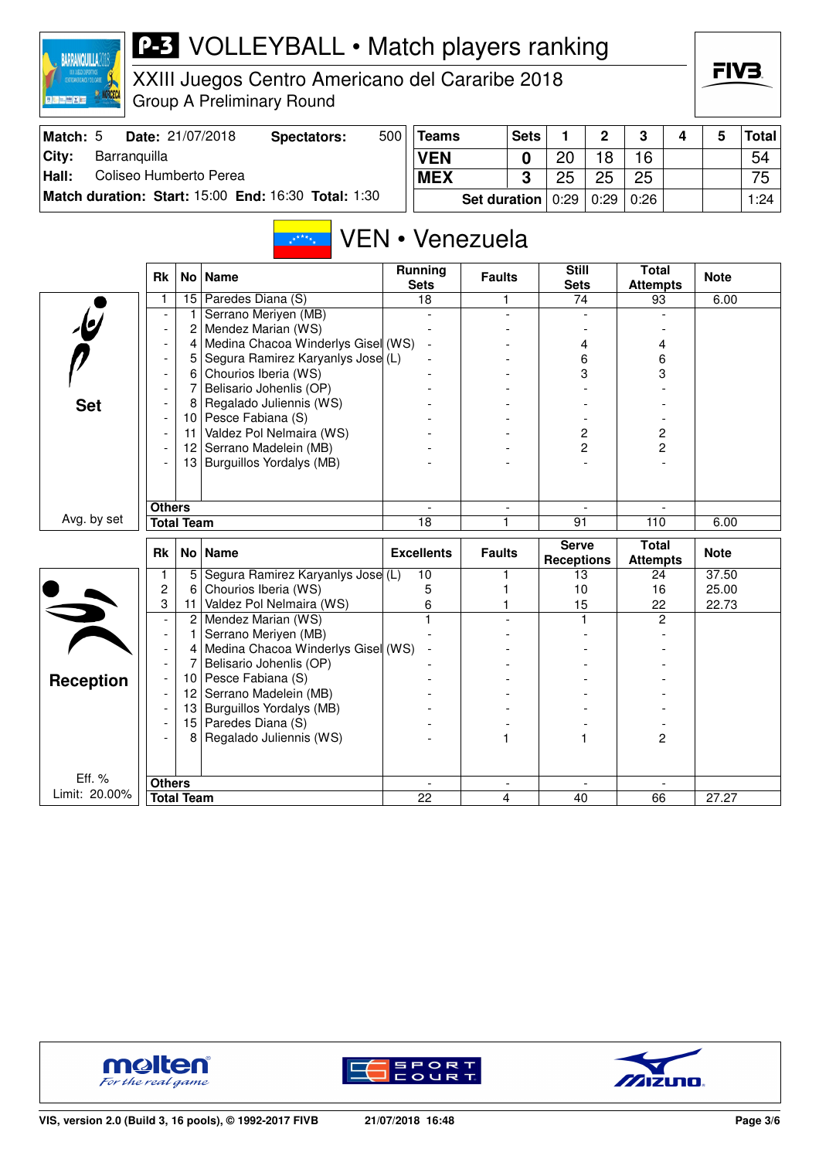

XXIII Juegos Centro Americano del Cararibe 2018 Group A Preliminary Round

| Match: 5 | <b>Date: 21/07/2018</b>                                    | Spectators: | 500 | <b>Teams</b>                                   | <b>Sets</b> |    | ົາ | - 2 |  | <b>Total</b> |
|----------|------------------------------------------------------------|-------------|-----|------------------------------------------------|-------------|----|----|-----|--|--------------|
| City:    | Barranquilla                                               |             |     | <b>VEN</b>                                     |             | 20 | 8  | 16  |  | 54           |
| Hall:    | Coliseo Humberto Perea                                     |             |     | <b>MEX</b>                                     | C           | つに | 25 | 25  |  | 75.          |
|          | <b>Match duration: Start: 15:00 End: 16:30 Total: 1:30</b> |             |     | <b>Set duration</b> $0:29 \mid 0:29 \mid 0:26$ |             |    |    |     |  | 1:24         |

#### VEN • Venezuela  $\mathbb{R}^{k \times k}$

|                         | <b>Rk</b>                          | No l              | <b>Name</b>                        | <b>Running</b><br><b>Sets</b> | <b>Faults</b>                 | <b>Still</b><br><b>Sets</b>       | <b>Total</b><br><b>Attempts</b> | <b>Note</b>        |
|-------------------------|------------------------------------|-------------------|------------------------------------|-------------------------------|-------------------------------|-----------------------------------|---------------------------------|--------------------|
|                         | 1                                  | 15                | Paredes Diana (S)                  | 18                            | 1                             | 74                                | 93                              | 6.00               |
|                         |                                    | 1                 | Serrano Meriyen (MB)               |                               |                               |                                   |                                 |                    |
| $\mathbf{\psi}$         | $\overline{\phantom{a}}$           | 2                 | Mendez Marian (WS)                 |                               |                               |                                   |                                 |                    |
|                         |                                    | 4                 | Medina Chacoa Winderlys Gisel (WS) |                               |                               | 4                                 | 4                               |                    |
|                         | $\overline{\phantom{a}}$           | 5                 | Segura Ramirez Karyanlys Jose (L)  |                               |                               | 6                                 | 6                               |                    |
|                         |                                    | 6                 | Chourios Iberia (WS)               |                               |                               | 3                                 | 3                               |                    |
|                         |                                    | 7                 | Belisario Johenlis (OP)            |                               |                               |                                   |                                 |                    |
| <b>Set</b>              | $\overline{\phantom{a}}$           | 8                 | Regalado Juliennis (WS)            |                               |                               |                                   |                                 |                    |
|                         |                                    | 10 <sup>°</sup>   | Pesce Fabiana (S)                  |                               |                               |                                   |                                 |                    |
|                         |                                    | 11                | Valdez Pol Nelmaira (WS)           |                               |                               | 2                                 | $\overline{c}$                  |                    |
|                         |                                    | 12                | Serrano Madelein (MB)              |                               |                               | $\overline{c}$                    | $\overline{c}$                  |                    |
|                         |                                    | 13                | Burguillos Yordalys (MB)           |                               |                               |                                   |                                 |                    |
|                         |                                    |                   |                                    |                               |                               |                                   |                                 |                    |
|                         |                                    |                   |                                    |                               |                               |                                   |                                 |                    |
|                         | <b>Others</b>                      |                   |                                    |                               | $\blacksquare$                |                                   |                                 |                    |
| Avg. by set             |                                    | <b>Total Team</b> |                                    | 18                            | 1                             | 91                                | 110                             | 6.00               |
|                         |                                    |                   |                                    |                               |                               |                                   |                                 |                    |
|                         | <b>Rk</b>                          | No <sub>1</sub>   | <b>Name</b>                        | <b>Excellents</b>             | <b>Faults</b>                 | <b>Serve</b><br><b>Receptions</b> | <b>Total</b><br><b>Attempts</b> | <b>Note</b>        |
|                         | 1                                  | 5                 | Segura Ramirez Karyanlys Jose (L)  | 10                            | 1                             | 13                                | 24                              | $\overline{37.50}$ |
|                         | 2                                  | 6                 | Chourios Iberia (WS)               | 5                             |                               | 10                                | 16                              | 25.00              |
|                         | 3                                  | 11                | Valdez Pol Nelmaira (WS)           | 6                             |                               | 15                                | 22                              | 22.73              |
|                         | $\overline{\phantom{a}}$           | $\overline{c}$    | Mendez Marian (WS)                 |                               |                               |                                   | $\overline{2}$                  |                    |
|                         | $\overline{\phantom{0}}$           | 1                 | Serrano Meriyen (MB)               |                               |                               |                                   |                                 |                    |
|                         | $\overline{\phantom{a}}$           | 4                 | Medina Chacoa Winderlys Gisel (WS) |                               |                               |                                   |                                 |                    |
|                         | $\overline{\phantom{a}}$           | 7                 | Belisario Johenlis (OP)            |                               |                               |                                   |                                 |                    |
|                         | $\overline{\phantom{a}}$           | 10                | Pesce Fabiana (S)                  |                               |                               |                                   |                                 |                    |
| <b>Reception</b>        | $\overline{\phantom{a}}$           | 12                | Serrano Madelein (MB)              |                               |                               |                                   |                                 |                    |
|                         | $\overline{\phantom{a}}$           | 13                | Burguillos Yordalys (MB)           |                               |                               |                                   |                                 |                    |
|                         |                                    | 15                | Paredes Diana (S)                  |                               |                               |                                   |                                 |                    |
|                         |                                    | 8                 | Regalado Juliennis (WS)            |                               |                               |                                   | $\overline{c}$                  |                    |
|                         |                                    |                   |                                    |                               |                               |                                   |                                 |                    |
|                         |                                    |                   |                                    |                               |                               |                                   |                                 |                    |
| Eff. %<br>Limit: 20.00% | <b>Others</b><br><b>Total Team</b> |                   |                                    | 22                            | $\overline{\phantom{a}}$<br>4 | 40                                | 66                              | 27.27              |





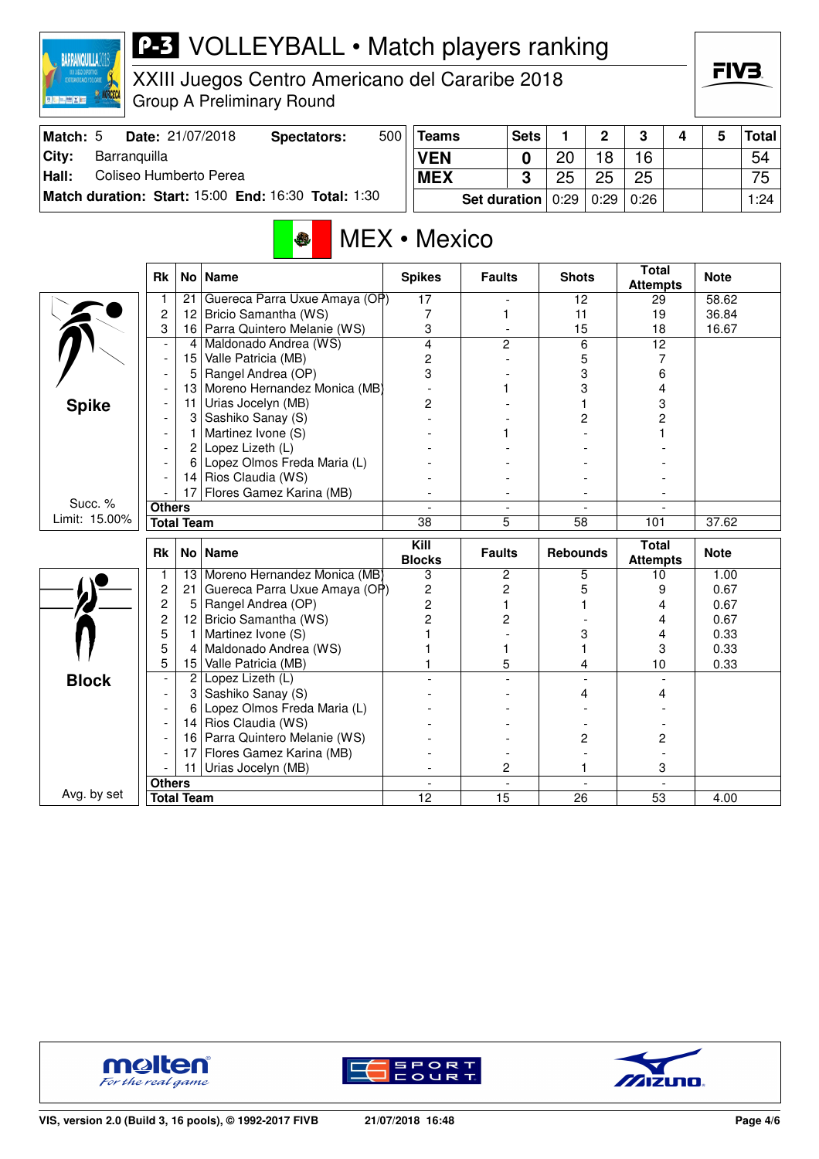

XXIII Juegos Centro Americano del Cararibe 2018 Group A Preliminary Round

| <b>Match: 5</b> |              | Date: 21/07/2018       | Spectators:                                         | 500 | <b>Teams</b>          | <b>Sets</b> |    | n    | ີ    |  | <b>Total</b> |
|-----------------|--------------|------------------------|-----------------------------------------------------|-----|-----------------------|-------------|----|------|------|--|--------------|
| City:           | Barranguilla |                        |                                                     |     | <b>VEN</b>            |             | 20 | 18   | 16   |  | 54           |
| Hall:           |              | Coliseo Humberto Perea |                                                     |     | <b>MEX</b>            | ົ           | 25 | 25   | 25   |  | 75           |
|                 |              |                        | Match duration: Start: 15:00 End: 16:30 Total: 1:30 |     | Set duration $ 0:29 $ |             |    | 0:29 | 0:26 |  | 1:24         |

# **MEX** • Mexico

|               | <b>Rk</b>                          | No <sub>1</sub> | <b>Name</b>                    | <b>Spikes</b>           | <b>Faults</b>  | <b>Shots</b>    | <b>Total</b><br><b>Attempts</b> | <b>Note</b> |
|---------------|------------------------------------|-----------------|--------------------------------|-------------------------|----------------|-----------------|---------------------------------|-------------|
|               | 1                                  | 21              | Guereca Parra Uxue Amaya (OP)  | 17                      |                | 12              | 29                              | 58.62       |
|               | $\overline{c}$                     | 12              | Bricio Samantha (WS)           | $\overline{7}$          | 1              | 11              | 19                              | 36.84       |
|               | 3                                  |                 | 16 Parra Quintero Melanie (WS) | 3                       | $\blacksquare$ | 15              | 18                              | 16.67       |
|               |                                    | 4               | Maldonado Andrea (WS)          | 4                       | 2              | 6               | 12                              |             |
|               | $\overline{\phantom{a}}$           | 15              | Valle Patricia (MB)            | $\overline{2}$          |                | 5               | 7                               |             |
|               |                                    | 5               | Rangel Andrea (OP)             | 3                       |                | 3               | 6                               |             |
|               |                                    | 13              | Moreno Hernandez Monica (MB)   |                         |                | 3               | 4                               |             |
| <b>Spike</b>  |                                    | 11              | Urias Jocelyn (MB)             | 2                       |                |                 | 3                               |             |
|               |                                    | 3               | Sashiko Sanay (S)              |                         |                | 2               | 2                               |             |
|               | $\overline{\phantom{a}}$           | 1               | Martinez Ivone (S)             |                         |                |                 |                                 |             |
|               |                                    | 2               | Lopez Lizeth (L)               |                         |                |                 |                                 |             |
|               |                                    | 6               | Lopez Olmos Freda Maria (L)    |                         |                |                 |                                 |             |
|               |                                    | 14              | Rios Claudia (WS)              |                         |                |                 |                                 |             |
|               |                                    | 17              | Flores Gamez Karina (MB)       |                         |                |                 |                                 |             |
| Succ. %       | <b>Others</b>                      |                 |                                | $\overline{a}$          | ۰              | $\blacksquare$  |                                 |             |
| Limit: 15.00% | <b>Total Team</b>                  |                 |                                | 38                      | 5              | $\overline{58}$ | 101                             | 37.62       |
|               |                                    |                 |                                |                         |                |                 |                                 |             |
|               | <b>Rk</b>                          | No <sub>1</sub> | <b>Name</b>                    | Kill<br><b>Blocks</b>   | <b>Faults</b>  | <b>Rebounds</b> | <b>Total</b><br><b>Attempts</b> | <b>Note</b> |
|               | 1                                  | 13              | Moreno Hernandez Monica (MB)   | 3                       | 2              | 5               | 10 <sup>1</sup>                 | 1.00        |
|               | $\overline{c}$                     | 21              | Guereca Parra Uxue Amaya (OP)  | $\overline{\mathbf{c}}$ | $\overline{c}$ | 5               | 9                               | 0.67        |
|               | $\overline{c}$                     | 5               | Rangel Andrea (OP)             | $\overline{c}$          | 1              |                 | 4                               | 0.67        |
|               | 2                                  | 12              | Bricio Samantha (WS)           | $\overline{2}$          | 2              |                 | 4                               | 0.67        |
|               | 5                                  | $\mathbf{1}$    | Martinez Ivone (S)             |                         |                | 3               | 4                               | 0.33        |
|               | 5                                  | 4               | Maldonado Andrea (WS)          |                         | 1              |                 | 3                               | 0.33        |
|               | 5                                  | 15              | Valle Patricia (MB)            |                         | 5              | 4               | 10                              | 0.33        |
|               |                                    | $\overline{2}$  | Lopez Lizeth (L)               |                         |                |                 |                                 |             |
| <b>Block</b>  |                                    | 3               | Sashiko Sanay (S)              |                         |                | 4               | 4                               |             |
|               |                                    | 6               | Lopez Olmos Freda Maria (L)    |                         |                |                 |                                 |             |
|               |                                    | 14              | Rios Claudia (WS)              |                         |                |                 |                                 |             |
|               |                                    | 16              | Parra Quintero Melanie (WS)    |                         |                | 2               | 2                               |             |
|               |                                    | 17              | Flores Gamez Karina (MB)       |                         |                |                 |                                 |             |
|               |                                    | 11              | Urias Jocelyn (MB)             |                         | 2              |                 | 3                               |             |
| Avg. by set   | <b>Others</b><br><b>Total Team</b> |                 |                                | 12                      | 15             | 26              | 53                              | 4.00        |





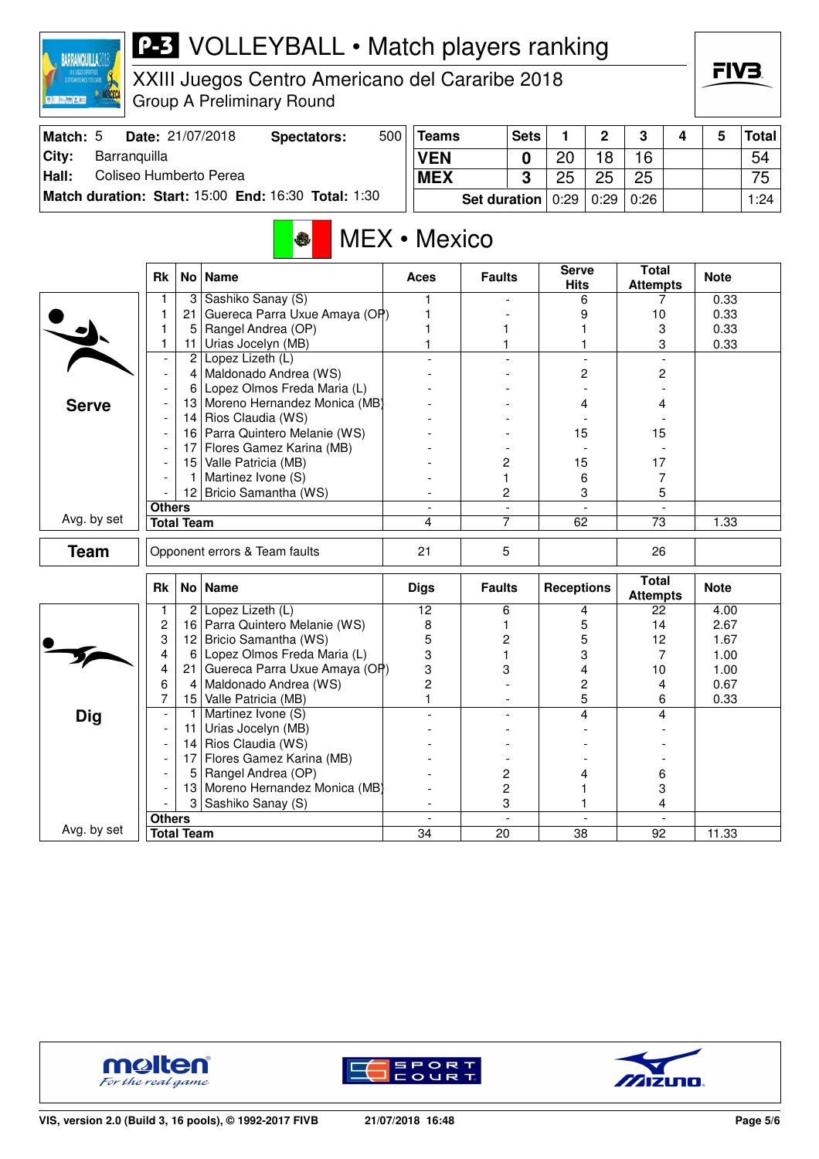

XXIII Juegos Centro Americano del Cararibe 2018 Group A Preliminary Round

| Match: 5 | Date: 21/07/2018                                           | Spectators: | 500 | <b>Teams</b> | <b>Sets</b>                  |    | C           | <sup>o</sup> |  | <b>Total</b> |
|----------|------------------------------------------------------------|-------------|-----|--------------|------------------------------|----|-------------|--------------|--|--------------|
| City:    | Barranquilla                                               |             |     | <b>VEN</b>   |                              | 20 | 18          | 16           |  | 54           |
| Hall:    | Coliseo Humberto Perea                                     |             |     | <b>MEX</b>   |                              | 25 | 25          | 25           |  | 75           |
|          | <b>Match duration: Start: 15:00 End: 16:30 Total: 1:30</b> |             |     |              | <b>Set duration</b> $ 0:29 $ |    | 0:29   0:26 |              |  | 1:24         |

# **MEX** • Mexico

|              | <b>Rk</b>                          |                 | No   Name                       | Aces                           | <b>Faults</b>                  | <b>Serve</b><br><b>Hits</b> | Total<br><b>Attempts</b>        | <b>Note</b> |
|--------------|------------------------------------|-----------------|---------------------------------|--------------------------------|--------------------------------|-----------------------------|---------------------------------|-------------|
|              | 1                                  | 3               | Sashiko Sanay (S)               |                                |                                | 6                           | 7                               | 0.33        |
|              | 1                                  | 21              | Guereca Parra Uxue Amaya (OP)   | 1                              |                                | 9                           | 10                              | 0.33        |
|              | 1                                  | 5               | Rangel Andrea (OP)              |                                |                                |                             | 3                               | 0.33        |
|              | 1                                  | 11 <sup>1</sup> | Urias Jocelyn (MB)              | 1                              |                                |                             | 3                               | 0.33        |
|              | $\overline{\phantom{a}}$           | 2               | Lopez Lizeth (L)                |                                |                                |                             |                                 |             |
|              | $\overline{a}$                     | $\overline{4}$  | Maldonado Andrea (WS)           |                                |                                | 2                           | 2                               |             |
|              | $\overline{\phantom{a}}$           | 6               | Lopez Olmos Freda Maria (L)     |                                |                                |                             |                                 |             |
| <b>Serve</b> |                                    | 13              | Moreno Hernandez Monica (MB)    |                                |                                | 4                           | 4                               |             |
|              | $\blacksquare$                     | 14              | Rios Claudia (WS)               |                                |                                |                             |                                 |             |
|              | $\overline{\phantom{a}}$           | 16              | Parra Quintero Melanie (WS)     |                                |                                | 15                          | 15                              |             |
|              | $\overline{\phantom{a}}$           | 17              | Flores Gamez Karina (MB)        |                                |                                |                             |                                 |             |
|              | $\overline{\phantom{a}}$           | 15              | Valle Patricia (MB)             |                                | 2                              | 15                          | 17                              |             |
|              | $\overline{\phantom{a}}$           | 1               | Martinez Ivone (S)              |                                | 1                              | 6                           | 7                               |             |
|              |                                    | 12              | Bricio Samantha (WS)            |                                | $\overline{c}$                 | 3                           | 5                               |             |
|              | <b>Others</b>                      |                 |                                 |                                | $\blacksquare$                 |                             |                                 |             |
| Avg. by set  | <b>Total Team</b>                  |                 |                                 | 4                              | 7                              | 62                          | $\overline{73}$                 | 1.33        |
| <b>Team</b>  |                                    |                 | Opponent errors & Team faults   | 21                             | 5                              |                             | 26                              |             |
|              | Rk                                 |                 | No   Name                       | <b>Digs</b>                    | <b>Faults</b>                  | <b>Receptions</b>           | <b>Total</b><br><b>Attempts</b> | <b>Note</b> |
|              | 1                                  |                 | $2$ Lopez Lizeth (L)            | 12                             | 6                              | 4                           | 22                              | 4.00        |
|              | $\overline{c}$                     |                 | 16 Parra Quintero Melanie (WS)  | 8                              | 1                              | 5                           | 14                              | 2.67        |
|              | 3                                  | 12              | Bricio Samantha (WS)            | 5                              | $\overline{c}$                 | 5                           | 12                              | 1.67        |
|              | 4                                  | 6               | Lopez Olmos Freda Maria (L)     | 3                              | 1                              | 3                           | 7                               | 1.00        |
|              | 4                                  | 21              | Guereca Parra Uxue Amaya (OP)   | 3                              | 3                              | 4                           | 10                              | 1.00        |
|              | 6                                  | $\overline{4}$  | Maldonado Andrea (WS)           | $\overline{c}$                 |                                | 2                           | 4                               | 0.67        |
|              | 7                                  | 15              | Valle Patricia (MB)             | $\mathbf{1}$                   |                                | 5                           | 6                               | 0.33        |
| <b>Dig</b>   | $\overline{\phantom{a}}$           | 1               | Martinez Ivone (S)              |                                |                                | 4                           | $\boldsymbol{\Lambda}$          |             |
|              | $\overline{\phantom{a}}$           | 11              | Urias Jocelyn (MB)              |                                |                                |                             |                                 |             |
|              | $\overline{\phantom{a}}$           | 14              | Rios Claudia (WS)               |                                |                                |                             |                                 |             |
|              |                                    |                 |                                 |                                |                                |                             |                                 |             |
|              | $\overline{a}$                     | 17              | Flores Gamez Karina (MB)        |                                |                                |                             |                                 |             |
|              | $\overline{\phantom{a}}$           | 5               | Rangel Andrea (OP)              |                                | $\overline{c}$                 | 4                           | 6                               |             |
|              |                                    |                 | 13 Moreno Hernandez Monica (MB) |                                | 2                              |                             | 3                               |             |
|              |                                    |                 | 3 Sashiko Sanay (S)             |                                | 3                              |                             | 4                               |             |
| Avg. by set  | <b>Others</b><br><b>Total Team</b> |                 |                                 | $\overline{\phantom{a}}$<br>34 | $\overline{\phantom{a}}$<br>20 | $\blacksquare$<br>38        | $\blacksquare$<br>92            | 11.33       |